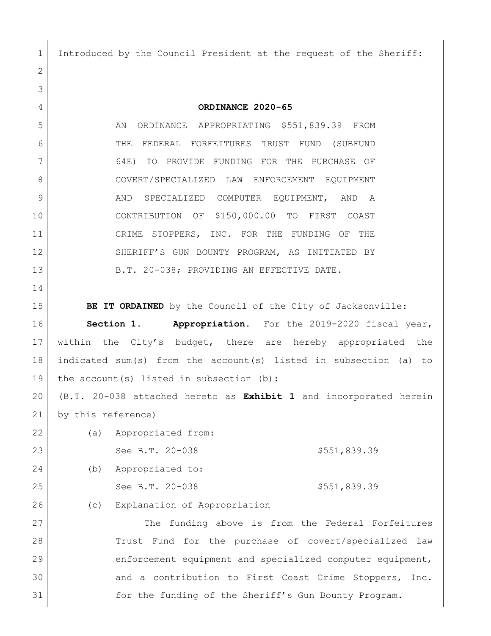Introduced by the Council President at the request of the Sheriff:

 **ORDINANCE 2020-65** 5 AN ORDINANCE APPROPRIATING \$551,839.39 FROM THE FEDERAL FORFEITURES TRUST FUND (SUBFUND 64E) TO PROVIDE FUNDING FOR THE PURCHASE OF COVERT/SPECIALIZED LAW ENFORCEMENT EQUIPMENT 9 AND SPECIALIZED COMPUTER EQUIPMENT, AND A CONTRIBUTION OF \$150,000.00 TO FIRST COAST 11 CRIME STOPPERS, INC. FOR THE FUNDING OF THE SHERIFF'S GUN BOUNTY PROGRAM, AS INITIATED BY 13 B.T. 20-038; PROVIDING AN EFFECTIVE DATE. **BE IT ORDAINED** by the Council of the City of Jacksonville: **Section 1. Appropriation.** For the 2019-2020 fiscal year, within the City's budget, there are hereby appropriated the indicated sum(s) from the account(s) listed in subsection (a) to 19 | the account (s) listed in subsection (b): (B.T. 20-038 attached hereto as **Exhibit 1** and incorporated herein by this reference) (a) Appropriated from: 23 See B.T. 20-038 \$551,839.39 (b) Appropriated to: 25 See B.T. 20-038 \$551,839.39 26 (c) Explanation of Appropriation The funding above is from the Federal Forfeitures Trust Fund for the purchase of covert/specialized law enforcement equipment and specialized computer equipment, and a contribution to First Coast Crime Stoppers, Inc. for the funding of the Sheriff's Gun Bounty Program.